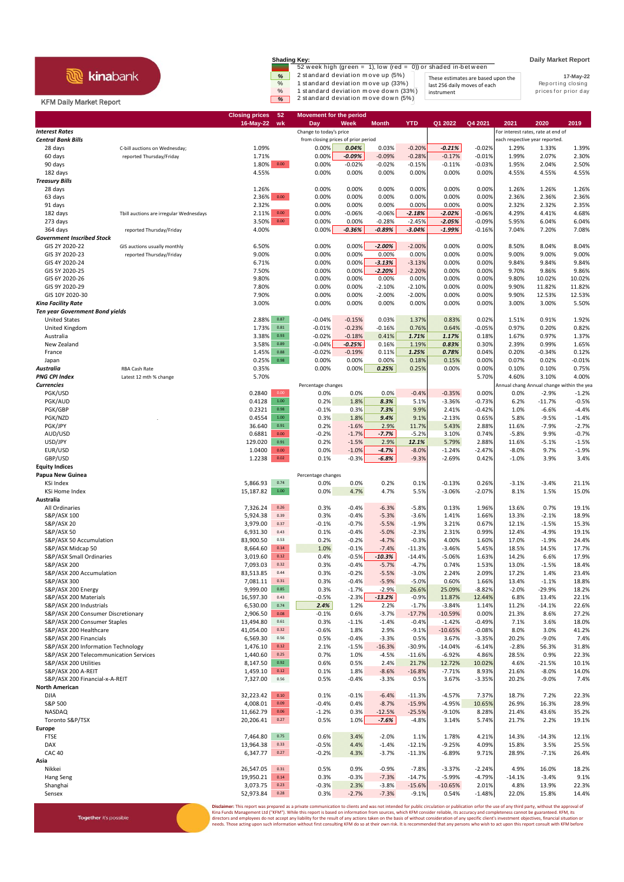## **R** kinabank

Together it's possible

**Shading Key: Daily Market Report**<br>52 week high (green = 1), low (red = 0)) or shaded in-between  $\frac{\%}{\%}$  2 standard deviation move up (5%)<br>
These estimates are based upon the<br>
1 standard deviation move up (33%) last 256 daily moves of each<br>
1 standard deviation move down (5%) instrument by the prices for prior day

instrument

**17-May-22** These estimates are based upon the last 256 daily moves of each

## KFM Daily Market Report

|                                             |                                         | <b>Closing prices</b><br>16-May-22 | 52<br>wk                            | <b>Movement for the period</b><br>Day | Week                 | <b>Month</b>        | <b>YTD</b>          | Q1 2022              | Q4 2021                        | 2021                                      | 2020              | 2019            |
|---------------------------------------------|-----------------------------------------|------------------------------------|-------------------------------------|---------------------------------------|----------------------|---------------------|---------------------|----------------------|--------------------------------|-------------------------------------------|-------------------|-----------------|
| <b>Interest Rates</b>                       |                                         |                                    |                                     | Change to today's price               |                      |                     |                     |                      |                                | For interest rates, rate at end of        |                   |                 |
| <b>Central Bank Bills</b>                   |                                         |                                    | from closing prices of prior period |                                       |                      |                     |                     |                      | each respective year reported. |                                           |                   |                 |
| 28 days                                     | C-bill auctions on Wednesday;           | 1.09%                              |                                     | 0.00%                                 | 0.04%                | 0.03%               | $-0.20%$            | $-0.21%$             | $-0.02%$                       | 1.29%                                     | 1.33%             | 1.39%           |
| 60 days                                     | reported Thursday/Friday                | 1.71%                              |                                     | 0.00%                                 | $-0.09%$             | $-0.09%$            | $-0.28%$            | $-0.17%$             | $-0.01%$                       | 1.99%                                     | 2.07%             | 2.30%           |
| 90 days                                     |                                         | 1.80%                              | 0.00                                | 0.00%                                 | $-0.02%$             | $-0.02%$            | $-0.15%$            | $-0.11%$             | $-0.03%$                       | 1.95%                                     | 2.04%             | 2.50%           |
| 182 days                                    |                                         | 4.55%                              |                                     | 0.00%                                 | 0.00%                | 0.00%               | 0.00%               | 0.00%                | 0.00%                          | 4.55%                                     | 4.55%             | 4.55%           |
| <b>Treasury Bills</b>                       |                                         |                                    |                                     |                                       |                      |                     |                     |                      |                                |                                           |                   |                 |
| 28 days                                     |                                         | 1.26%                              |                                     | 0.00%                                 | 0.00%                | 0.00%               | 0.00%               | 0.00%                | 0.00%                          | 1.26%                                     | 1.26%             | 1.26%           |
| 63 days                                     |                                         | 2.36%                              | $0.00\,$                            | 0.00%                                 | 0.00%                | 0.00%               | 0.00%               | 0.00%                | 0.00%                          | 2.36%                                     | 2.36%             | 2.36%           |
| 91 days<br>182 days                         |                                         | 2.32%<br>2.11%                     | 0.00                                | 0.00%<br>0.00%                        | 0.00%<br>$-0.06%$    | 0.00%<br>$-0.06%$   | 0.00%<br>$-2.18%$   | 0.00%<br>$-2.02%$    | 0.00%<br>$-0.06%$              | 2.32%<br>4.29%                            | 2.32%<br>4.41%    | 2.35%<br>4.68%  |
| 273 days                                    | Tbill auctions are irregular Wednesdays | 3.50%                              | $0.00\,$                            | 0.00%                                 | 0.00%                | $-0.28%$            | $-2.45%$            | $-2.05%$             | $-0.09%$                       | 5.95%                                     | 6.04%             | 6.04%           |
| 364 days                                    | reported Thursday/Friday                | 4.00%                              |                                     | 0.00%                                 | $-0.36%$             | $-0.89%$            | $-3.04%$            | $-1.99%$             | $-0.16%$                       | 7.04%                                     | 7.20%             | 7.08%           |
| <b>Government Inscribed Stock</b>           |                                         |                                    |                                     |                                       |                      |                     |                     |                      |                                |                                           |                   |                 |
| GIS 2Y 2020-22                              | GIS auctions usually monthly            | 6.50%                              |                                     | 0.00%                                 | 0.00%                | $-2.00%$            | $-2.00%$            | 0.00%                | 0.00%                          | 8.50%                                     | 8.04%             | 8.04%           |
| GIS 3Y 2020-23                              | reported Thursday/Friday                | 9.00%                              |                                     | 0.00%                                 | 0.00%                | 0.00%               | 0.00%               | 0.00%                | 0.00%                          | 9.00%                                     | 9.00%             | 9.00%           |
| GIS 4Y 2020-24                              |                                         | 6.71%                              |                                     | 0.00%                                 | 0.00%                | $-3.13%$            | $-3.13%$            | 0.00%                | 0.00%                          | 9.84%                                     | 9.84%             | 9.84%           |
| GIS 5Y 2020-25                              |                                         | 7.50%                              |                                     | 0.00%                                 | 0.00%                | $-2.20%$            | $-2.20%$            | 0.00%                | 0.00%                          | 9.70%                                     | 9.86%             | 9.86%           |
| GIS 6Y 2020-26                              |                                         | 9.80%                              |                                     | 0.00%                                 | 0.00%                | 0.00%               | 0.00%               | 0.00%                | 0.00%                          | 9.80%                                     | 10.02%            | 10.02%          |
| GIS 9Y 2020-29                              |                                         | 7.80%                              |                                     | 0.00%                                 | 0.00%                | $-2.10%$            | $-2.10%$            | 0.00%                | 0.00%                          | 9.90%                                     | 11.82%            | 11.82%          |
| GIS 10Y 2020-30                             |                                         | 7.90%                              |                                     | 0.00%                                 | 0.00%                | $-2.00%$            | $-2.00%$            | 0.00%                | 0.00%                          | 9.90%                                     | 12.53%            | 12.53%          |
| Kina Facility Rate                          |                                         | 3.00%                              |                                     | 0.00%                                 | 0.00%                | 0.00%               | 0.00%               | 0.00%                | 0.00%                          | 3.00%                                     | 3.00%             | 5.50%           |
| <b>Ten year Government Bond yields</b>      |                                         |                                    |                                     |                                       |                      |                     |                     |                      |                                |                                           |                   |                 |
| <b>United States</b>                        |                                         | 2.88%                              | 0.87                                | $-0.04%$                              | $-0.15%$             | 0.03%               | 1.37%               | 0.83%                | 0.02%                          | 1.51%                                     | 0.91%             | 1.92%<br>0.82%  |
| United Kingdom<br>Australia                 |                                         | 1.73%<br>3.38%                     | 0.81<br>0.93                        | $-0.01%$<br>$-0.02%$                  | $-0.23%$<br>$-0.18%$ | $-0.16%$<br>0.41%   | 0.76%<br>1.71%      | 0.64%<br>1.17%       | $-0.05%$<br>0.18%              | 0.97%<br>1.67%                            | 0.20%<br>0.97%    | 1.37%           |
| New Zealand                                 |                                         | 3.58%                              | 0.89                                | $-0.04%$                              | $-0.25%$             | 0.16%               | 1.19%               | 0.83%                | 0.30%                          | 2.39%                                     | 0.99%             | 1.65%           |
| France                                      |                                         | 1.45%                              | 0.88                                | $-0.02%$                              | $-0.19%$             | 0.11%               | 1.25%               | 0.78%                | 0.04%                          | 0.20%                                     | $-0.34%$          | 0.12%           |
| Japan                                       |                                         | 0.25%                              | 0.98                                | 0.00%                                 | 0.00%                | 0.00%               | 0.18%               | 0.15%                | 0.00%                          | 0.07%                                     | 0.02%             | $-0.01%$        |
| Australia                                   | <b>RBA Cash Rate</b>                    | 0.35%                              |                                     | 0.00%                                 | 0.00%                | 0.25%               | 0.25%               | 0.00%                | 0.00%                          | 0.10%                                     | 0.10%             | 0.75%           |
| <b>PNG CPI Index</b>                        | Latest 12 mth % change                  | 5.70%                              |                                     |                                       |                      |                     |                     |                      | 5.70%                          | 4.60%                                     | 3.10%             | 4.00%           |
| <b>Currencies</b>                           |                                         |                                    |                                     | Percentage changes                    |                      |                     |                     |                      |                                | Annual chang Annual change within the yea |                   |                 |
| PGK/USD                                     |                                         | 0.2840                             | 0.00                                | 0.0%                                  | 0.0%                 | 0.0%                | $-0.4%$             | $-0.35%$             | 0.00%                          | 0.0%                                      | $-2.9%$           | $-1.2%$         |
| PGK/AUD                                     |                                         | 0.4128                             | $1.00\,$                            | 0.2%                                  | 1.8%                 | 8.3%                | 5.1%                | $-3.36%$             | $-0.73%$                       | 6.2%                                      | $-11.7%$          | $-0.5%$         |
| PGK/GBP                                     |                                         | 0.2321                             | 0.98                                | $-0.1%$                               | 0.3%                 | 7.3%                | 9.9%                | 2.41%                | $-0.42%$                       | 1.0%                                      | $-6.6%$           | $-4.4%$         |
| PGK/NZD                                     |                                         | 0.4554                             | 1.00                                | 0.3%                                  | 1.8%                 | 9.4%                | 9.1%                | $-2.13%$             | 0.65%                          | 5.8%                                      | $-9.5%$           | $-1.4%$         |
| PGK/JPY                                     |                                         | 36.640                             | $\mathbf{0.91}$                     | 0.2%                                  | $-1.6%$              | 2.9%                | 11.7%               | 5.43%                | 2.88%                          | 11.6%                                     | $-7.9%$           | $-2.7%$         |
| AUD/USD                                     |                                         | 0.6881                             | 0.00                                | -0.2%                                 | $-1.7%$              | $-7.7%$             | $-5.2%$             | 3.10%                | 0.74%                          | $-5.8%$                                   | 9.9%              | $-0.7%$         |
| USD/JPY                                     |                                         | 129.020                            | 0.91                                | 0.2%                                  | $-1.5%$              | 2.9%                | 12.1%               | 5.79%                | 2.88%                          | 11.6%                                     | $-5.1%$           | $-1.5%$         |
| EUR/USD<br>GBP/USD                          |                                         | 1.0400<br>1.2238                   | $0.00\,$<br>0.02                    | 0.0%<br>0.1%                          | $-1.0%$<br>$-0.3%$   | $-4.7%$<br>$-6.8%$  | $-8.0%$<br>$-9.3%$  | $-1.24%$<br>$-2.69%$ | $-2.47%$<br>0.42%              | $-8.0%$                                   | 9.7%<br>3.9%      | $-1.9%$<br>3.4% |
| <b>Equity Indices</b>                       |                                         |                                    |                                     |                                       |                      |                     |                     |                      |                                | $-1.0%$                                   |                   |                 |
| Papua New Guinea                            |                                         |                                    |                                     | Percentage changes                    |                      |                     |                     |                      |                                |                                           |                   |                 |
| KSi Index                                   |                                         | 5,866.93                           | 0.74                                | 0.0%                                  | 0.0%                 | 0.2%                | 0.1%                | $-0.13%$             | 0.26%                          | $-3.1%$                                   | $-3.4%$           | 21.1%           |
| <b>KSi Home Index</b>                       |                                         | 15,187.82                          | $1.00\,$                            | 0.0%                                  | 4.7%                 | 4.7%                | 5.5%                | $-3.06%$             | $-2.07%$                       | 8.1%                                      | 1.5%              | 15.0%           |
| Australia                                   |                                         |                                    |                                     |                                       |                      |                     |                     |                      |                                |                                           |                   |                 |
| All Ordinaries                              |                                         | 7,326.24                           | 0.26                                | 0.3%                                  | $-0.4%$              | $-6.3%$             | $-5.8%$             | 0.13%                | 1.96%                          | 13.6%                                     | 0.7%              | 19.1%           |
| S&P/ASX 100                                 |                                         | 5,924.38                           | 0.39                                | 0.3%                                  | $-0.4%$              | $-5.3%$             | $-3.6%$             | 1.41%                | 1.66%                          | 13.3%                                     | $-2.1%$           | 18.9%           |
| S&P/ASX 20                                  |                                         | 3,979.00                           | 0.37                                | $-0.1%$                               | $-0.7%$              | $-5.5%$             | $-1.9%$             | 3.21%                | 0.67%                          | 12.1%                                     | $-1.5%$           | 15.3%           |
| <b>S&amp;P/ASX 50</b>                       |                                         | 6,931.30                           | 0.43                                | 0.1%                                  | $-0.4%$              | $-5.0%$             | $-2.3%$             | 2.31%                | 0.99%                          | 12.4%                                     | $-4.9%$           | 19.1%           |
| S&P/ASX 50 Accumulation                     |                                         | 83,900.50                          | 0.53                                | 0.2%                                  | $-0.2%$              | $-4.7%$             | $-0.3%$             | 4.00%                | 1.60%                          | 17.0%                                     | $-1.9%$           | 24.4%           |
| S&P/ASX Midcap 50                           |                                         | 8,664.60                           | 0.14                                | 1.0%                                  | $-0.1%$              | $-7.4%$             | $-11.3%$            | $-3.46%$             | 5.45%                          | 18.5%                                     | 14.5%             | 17.7%           |
| S&P/ASX Small Ordinaries                    |                                         | 3,019.60                           | 0.12                                | 0.4%                                  | $-0.5%$              | $-10.3%$            | $-14.4%$            | $-5.06%$             | 1.63%                          | 14.2%                                     | 6.6%              | 17.9%           |
| S&P/ASX 200                                 |                                         | 7,093.03                           | 0.32                                | 0.3%                                  | $-0.4%$              | $-5.7%$             | $-4.7%$             | 0.74%                | 1.53%                          | 13.0%                                     | $-1.5%$           | 18.4%           |
| S&P/ASX 200 Accumulation                    |                                         | 83,513.85                          | 0.44                                | 0.3%                                  | $-0.2%$              | $-5.5%$             | $-3.0%$             | 2.24%                | 2.09%                          | 17.2%                                     | 1.4%              | 23.4%           |
| S&P/ASX 300                                 |                                         | 7,081.11<br>9,999.00               | 0.31<br>0.85                        | 0.3%                                  | $-0.4%$              | $-5.9%$             | $-5.0%$             | 0.60%                | 1.66%                          | 13.4%                                     | $-1.1%$           | 18.8%           |
| S&P/ASX 200 Energy<br>S&P/ASX 200 Materials |                                         | 16,597.30                          | 0.43                                | 0.3%<br>$-0.5%$                       | $-1.7%$<br>$-2.3%$   | $-2.9%$<br>$-13.2%$ | 26.6%<br>$-0.9%$    | 25.09%<br>11.87%     | $-8.82%$<br>12.44%             | $-2.0%$<br>6.8%                           | $-29.9%$<br>13.4% | 18.2%<br>22.1%  |
| S&P/ASX 200 Industrials                     |                                         | 6,530.00                           | 0.74                                | 2.4%                                  | 1.2%                 | 2.2%                | $-1.7%$             | $-3.84%$             | 1.14%                          | 11.2%                                     | $-14.1%$          | 22.6%           |
| S&P/ASX 200 Consumer Discretionary          |                                         | 2,906.50                           | $0.08\,$                            | $-0.1%$                               | 0.6%                 | $-3.7%$             | $-17.7%$            | $-10.59%$            | 0.00%                          | 21.3%                                     | 8.6%              | 27.2%           |
| S&P/ASX 200 Consumer Staples                |                                         | 13,494.80                          | 0.61                                | 0.3%                                  | $-1.1%$              | $-1.4%$             | $-0.4%$             | $-1.42%$             | $-0.49%$                       | 7.1%                                      | 3.6%              | 18.0%           |
| S&P/ASX 200 Healthcare                      |                                         | 41,054.00                          | 0.32                                | $-0.6%$                               | 1.8%                 | 2.9%                | $-9.1%$             | $-10.65%$            | $-0.08%$                       | 8.0%                                      | 3.0%              | 41.2%           |
| S&P/ASX 200 Financials                      |                                         | 6,569.30                           | 0.56                                | 0.5%                                  | $-0.4%$              | $-3.3%$             | 0.5%                | 3.67%                | $-3.35%$                       | 20.2%                                     | $-9.0%$           | 7.4%            |
| S&P/ASX 200 Information Technology          |                                         | 1,476.10                           | 0.12                                | 2.1%                                  | $-1.5%$              | $-16.3%$            | $-30.9%$            | $-14.04%$            | $-6.14%$                       | $-2.8%$                                   | 56.3%             | 31.8%           |
| S&P/ASX 200 Telecommunication Services      |                                         | 1,440.60                           | 0.25                                | 0.7%                                  | 1.0%                 | $-4.5%$             | $-11.6%$            | $-6.92%$             | 4.86%                          | 28.5%                                     | 0.9%              | 22.3%           |
| S&P/ASX 200 Utilities                       |                                         | 8,147.50                           | 0.92                                | 0.6%                                  | 0.5%                 | 2.4%                | 21.7%               | 12.72%               | 10.02%                         | 4.6%                                      | $-21.5%$          | 10.1%           |
| S&P/ASX 200 A-REIT                          |                                         | 1,459.10                           | 0.12                                | 0.1%                                  | 1.8%                 | $-8.6%$             | $-16.8%$            | $-7.71%$             | 8.93%                          | 21.6%                                     | $-8.0%$           | 14.0%           |
| S&P/ASX 200 Financial-x-A-REIT              |                                         | 7,327.00                           | 0.56                                | 0.5%                                  | $-0.4%$              | $-3.3%$             | 0.5%                | 3.67%                | $-3.35%$                       | 20.2%                                     | $-9.0%$           | 7.4%            |
| <b>North American</b>                       |                                         |                                    |                                     |                                       |                      |                     |                     |                      |                                |                                           |                   |                 |
| <b>DJIA</b>                                 |                                         | 32,223.42                          | $0.10\,$<br>0.09                    | 0.1%                                  | $-0.1%$              | $-6.4%$             | $-11.3%$            | $-4.57%$             | 7.37%                          | 18.7%                                     | 7.2%              | 22.3%           |
| S&P 500                                     |                                         | 4,008.01                           | 0.06                                | $-0.4%$                               | 0.4%                 | $-8.7%$             | $-15.9%$            | $-4.95%$             | 10.65%                         | 26.9%                                     | 16.3%             | 28.9%           |
| NASDAQ<br>Toronto S&P/TSX                   |                                         | 11,662.79<br>20,206.41             | 0.27                                | $-1.2%$<br>0.5%                       | 0.3%<br>1.0%         | $-12.5%$<br>$-7.6%$ | $-25.5%$<br>$-4.8%$ | $-9.10%$<br>3.14%    | 8.28%<br>5.74%                 | 21.4%<br>21.7%                            | 43.6%<br>2.2%     | 35.2%<br>19.1%  |
| Europe                                      |                                         |                                    |                                     |                                       |                      |                     |                     |                      |                                |                                           |                   |                 |
| <b>FTSE</b>                                 |                                         | 7,464.80                           | 0.75                                | 0.6%                                  | 3.4%                 | $-2.0%$             | 1.1%                | 1.78%                | 4.21%                          | 14.3%                                     | $-14.3%$          | 12.1%           |
| DAX                                         |                                         | 13,964.38                          | 0.33                                | $-0.5%$                               | 4.4%                 | $-1.4%$             | $-12.1%$            | $-9.25%$             | 4.09%                          | 15.8%                                     | 3.5%              | 25.5%           |
| <b>CAC 40</b>                               |                                         | 6,347.77                           | 0.27                                | $-0.2%$                               | 4.3%                 | $-3.7%$             | $-11.3%$            | $-6.89%$             | 9.71%                          | 28.9%                                     | $-7.1%$           | 26.4%           |
| Asia                                        |                                         |                                    |                                     |                                       |                      |                     |                     |                      |                                |                                           |                   |                 |
| Nikkei                                      |                                         | 26,547.05                          | 0.31                                | 0.5%                                  | 0.9%                 | $-0.9%$             | $-7.8%$             | $-3.37%$             | $-2.24%$                       | 4.9%                                      | 16.0%             | 18.2%           |
| Hang Seng                                   |                                         | 19,950.21                          | 0.14                                | 0.3%                                  | $-0.3%$              | $-7.3%$             | $-14.7%$            | $-5.99%$             | $-4.79%$                       | $-14.1%$                                  | $-3.4%$           | 9.1%            |
| Shanghai                                    |                                         | 3,073.75                           | 0.23                                | $-0.3%$                               | 2.3%                 | $-3.8%$             | $-15.6%$            | $-10.65%$            | 2.01%                          | 4.8%                                      | 13.9%             | 22.3%           |
| Sensex                                      |                                         | 52,973.84                          | 0.28                                | 0.3%                                  | $-2.7%$              | $-7.3%$             | $-9.1%$             | 0.54%                | $-1.48%$                       | 22.0%                                     | 15.8%             | 14.4%           |

**Disclaimer**: This report was prepared as a private communication to clients and was not intended for public circulation or publication orfor the use of any third party, without the approval of<br>Kina Funds Management Ltd ("